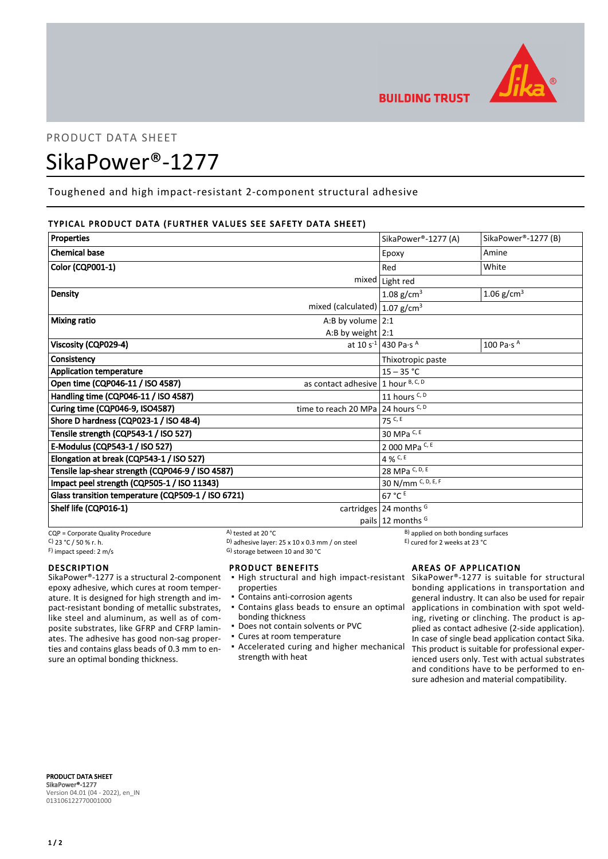

## PRODUCT DATA SHEET

# SikaPower®-1277

Toughened and high impact-resistant 2-component structural adhesive

## TYPICAL PRODUCT DATA (FURTHER VALUES SEE SAFETY DATA SHEET)

| <b>Properties</b>                                  |                                      | SikaPower®-1277 (A)                         | SikaPower®-1277 (B)            |
|----------------------------------------------------|--------------------------------------|---------------------------------------------|--------------------------------|
| <b>Chemical base</b>                               |                                      | Epoxy                                       | Amine                          |
| Color (CQP001-1)                                   |                                      | Red                                         | White                          |
|                                                    | mixed                                | Light red                                   |                                |
| Density                                            |                                      | 1.08 g/cm <sup>3</sup>                      | 1.06 $g/cm^{3}$                |
| mixed (calculated) $ 1.07$ g/cm <sup>3</sup>       |                                      |                                             |                                |
| <b>Mixing ratio</b>                                | A:B by volume $2:1$                  |                                             |                                |
|                                                    | A:B by weight $2:1$                  |                                             |                                |
| Viscosity (CQP029-4)                               |                                      | at 10 s <sup>-1</sup> 430 Pa·s <sup>A</sup> | 100 Pa $\cdot$ s $^{\text{A}}$ |
| Consistency                                        |                                      | Thixotropic paste                           |                                |
| <b>Application temperature</b>                     |                                      | $15 - 35 °C$                                |                                |
| Open time (CQP046-11 / ISO 4587)                   | as contact adhesive $1$ hour B, C, D |                                             |                                |
| Handling time (CQP046-11 / ISO 4587)               |                                      | 11 hours C, D                               |                                |
| Curing time (CQP046-9, ISO4587)                    | time to reach 20 MPa 24 hours $C, D$ |                                             |                                |
| Shore D hardness (CQP023-1 / ISO 48-4)             |                                      | $75$ C, E                                   |                                |
| Tensile strength (CQP543-1 / ISO 527)              |                                      | 30 MPa C, E                                 |                                |
| E-Modulus (CQP543-1 / ISO 527)                     | 2 000 MPa C, E                       |                                             |                                |
| Elongation at break (CQP543-1 / ISO 527)           |                                      | 4 % C, E                                    |                                |
| Tensile lap-shear strength (CQP046-9 / ISO 4587)   |                                      | 28 MPa C, D, E                              |                                |
| Impact peel strength (CQP505-1 / ISO 11343)        |                                      | 30 N/mm C, D, E, F                          |                                |
| Glass transition temperature (CQP509-1 / ISO 6721) |                                      | 67 °C E                                     |                                |
| Shelf life (CQP016-1)                              |                                      | cartridges $24$ months <sup>G</sup>         |                                |
|                                                    |                                      | pails $12$ months <sup>G</sup>              |                                |

CQP = Corporate Quality Procedure  $\overline{C}$  CP = Corporate Quality Procedure  $\overline{C}$  B) applied on both bonding surfaces<br>  $\overline{C}$  C  $\overline{C}$  23 °C / 50 % r. h.<br>  $\overline{D}$  adhesive layer: 25 x 10 x 0.3 mm / on steel  $\overline{D$ C)  $23 °C / 50 %$  r. h.  $\overline{)}$  adhesive layer:  $25 x 10 x 0.3 mm / on steel$ <br>
F) impact speed: 2 m/s

**DESCRIPTION** 

SikaPower®-1277 is a structural 2-component epoxy adhesive, which cures at room temperature. It is designed for high strength and impact-resistant bonding of metallic substrates, like steel and aluminum, as well as of composite substrates, like GFRP and CFRP laminates. The adhesive has good non-sag properties and contains glass beads of 0.3 mm to ensure an optimal bonding thickness.

G) storage between 10 and 30 °C

## PRODUCT BENEFITS

- **.** High structural and high impact-resistant SikaPower®-1277 is suitable for structural properties
- Contains anti-corrosion agents
- Contains glass beads to ensure an optimal bonding thickness
- Does not contain solvents or PVC
- Cures at room temperature
- **Accelerated curing and higher mechanical** strength with heat

AREAS OF APPLICATION

bonding applications in transportation and general industry. It can also be used for repair applications in combination with spot welding, riveting or clinching. The product is applied as contact adhesive (2-side application). In case of single bead application contact Sika. This product is suitable for professional experienced users only. Test with actual substrates and conditions have to be performed to ensure adhesion and material compatibility.

PRODUCT DATA SHEET SikaPower®-1277 Version 04.01 (04 - 2022), en\_IN 013106122770001000